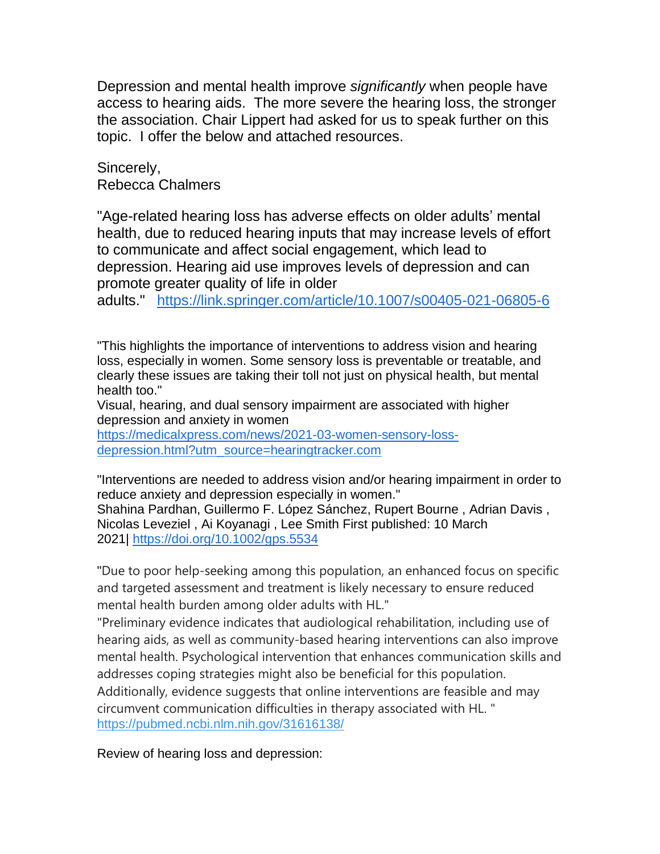Depression and mental health improve *significantly* when people have access to hearing aids. The more severe the hearing loss, the stronger the association. Chair Lippert had asked for us to speak further on this topic. I offer the below and attached resources.

Sincerely, Rebecca Chalmers

"Age-related hearing loss has adverse effects on older adults' mental health, due to reduced hearing inputs that may increase levels of effort to communicate and affect social engagement, which lead to depression. Hearing aid use improves levels of depression and can promote greater quality of life in older

adults." <https://link.springer.com/article/10.1007/s00405-021-06805-6>

"This highlights the importance of interventions to address vision and hearing loss, especially in women. Some sensory loss is preventable or treatable, and clearly these issues are taking their toll not just on physical health, but mental health too."

Visual, hearing, and dual sensory impairment are associated with higher depression and anxiety in women

[https://medicalxpress.com/news/2021-03-women-sensory-loss](https://medicalxpress.com/news/2021-03-women-sensory-loss-depression.html?utm_source=hearingtracker.com)[depression.html?utm\\_source=hearingtracker.com](https://medicalxpress.com/news/2021-03-women-sensory-loss-depression.html?utm_source=hearingtracker.com)

"Interventions are needed to address vision and/or hearing impairment in order to reduce anxiety and depression especially in women." Shahina Pardhan, Guillermo F. López Sánchez, Rupert Bourne , Adrian Davis , Nicolas Leveziel , Ai Koyanagi , Lee Smith First published: 10 March 2021| <https://doi.org/10.1002/gps.5534>

"Due to poor help-seeking among this population, an enhanced focus on specific and targeted assessment and treatment is likely necessary to ensure reduced mental health burden among older adults with HL."

"Preliminary evidence indicates that audiological rehabilitation, including use of hearing aids, as well as community-based hearing interventions can also improve mental health. Psychological intervention that enhances communication skills and addresses coping strategies might also be beneficial for this population. Additionally, evidence suggests that online interventions are feasible and may circumvent communication difficulties in therapy associated with HL. " <https://pubmed.ncbi.nlm.nih.gov/31616138/>

Review of hearing loss and depression: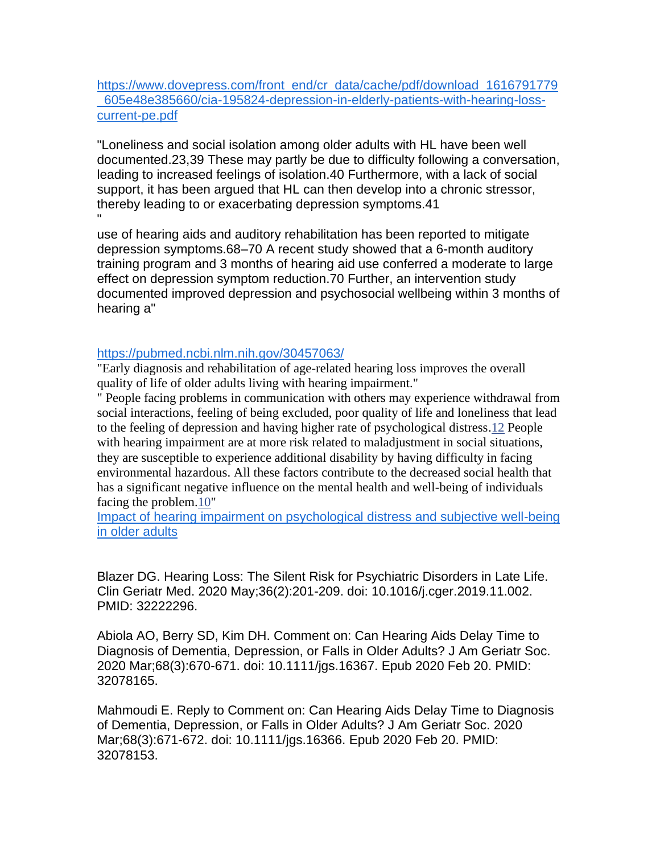[https://www.dovepress.com/front\\_end/cr\\_data/cache/pdf/download\\_1616791779](https://www.dovepress.com/front_end/cr_data/cache/pdf/download_1616791779_605e48e385660/cia-195824-depression-in-elderly-patients-with-hearing-loss-current-pe.pdf) [\\_605e48e385660/cia-195824-depression-in-elderly-patients-with-hearing-loss](https://www.dovepress.com/front_end/cr_data/cache/pdf/download_1616791779_605e48e385660/cia-195824-depression-in-elderly-patients-with-hearing-loss-current-pe.pdf)[current-pe.pdf](https://www.dovepress.com/front_end/cr_data/cache/pdf/download_1616791779_605e48e385660/cia-195824-depression-in-elderly-patients-with-hearing-loss-current-pe.pdf)

"Loneliness and social isolation among older adults with HL have been well documented.23,39 These may partly be due to difficulty following a conversation, leading to increased feelings of isolation.40 Furthermore, with a lack of social support, it has been argued that HL can then develop into a chronic stressor, thereby leading to or exacerbating depression symptoms.41 "

use of hearing aids and auditory rehabilitation has been reported to mitigate depression symptoms.68–70 A recent study showed that a 6-month auditory training program and 3 months of hearing aid use conferred a moderate to large effect on depression symptom reduction.70 Further, an intervention study documented improved depression and psychosocial wellbeing within 3 months of hearing a"

## <https://pubmed.ncbi.nlm.nih.gov/30457063/>

"Early diagnosis and rehabilitation of age-related hearing loss improves the overall quality of life of older adults living with hearing impairment."

" People facing problems in communication with others may experience withdrawal from social interactions, feeling of being excluded, poor quality of life and loneliness that lead to the feeling of depression and having higher rate of psychological distress[.12](https://www.ncbi.nlm.nih.gov/pmc/articles/PMC7501003/#ref12) People with hearing impairment are at more risk related to maladjustment in social situations, they are susceptible to experience additional disability by having difficulty in facing environmental hazardous. All these factors contribute to the decreased social health that has a significant negative influence on the mental health and well-being of individuals facing the problem[.10"](https://www.ncbi.nlm.nih.gov/pmc/articles/PMC7501003/#ref10)

[Impact of hearing impairment on psychological distress and subjective well-being](https://www.ncbi.nlm.nih.gov/pmc/articles/PMC7501003/)  [in older adults](https://www.ncbi.nlm.nih.gov/pmc/articles/PMC7501003/)

Blazer DG. Hearing Loss: The Silent Risk for Psychiatric Disorders in Late Life. Clin Geriatr Med. 2020 May;36(2):201-209. doi: 10.1016/j.cger.2019.11.002. PMID: 32222296.

Abiola AO, Berry SD, Kim DH. Comment on: Can Hearing Aids Delay Time to Diagnosis of Dementia, Depression, or Falls in Older Adults? J Am Geriatr Soc. 2020 Mar;68(3):670-671. doi: 10.1111/jgs.16367. Epub 2020 Feb 20. PMID: 32078165.

Mahmoudi E. Reply to Comment on: Can Hearing Aids Delay Time to Diagnosis of Dementia, Depression, or Falls in Older Adults? J Am Geriatr Soc. 2020 Mar;68(3):671-672. doi: 10.1111/jgs.16366. Epub 2020 Feb 20. PMID: 32078153.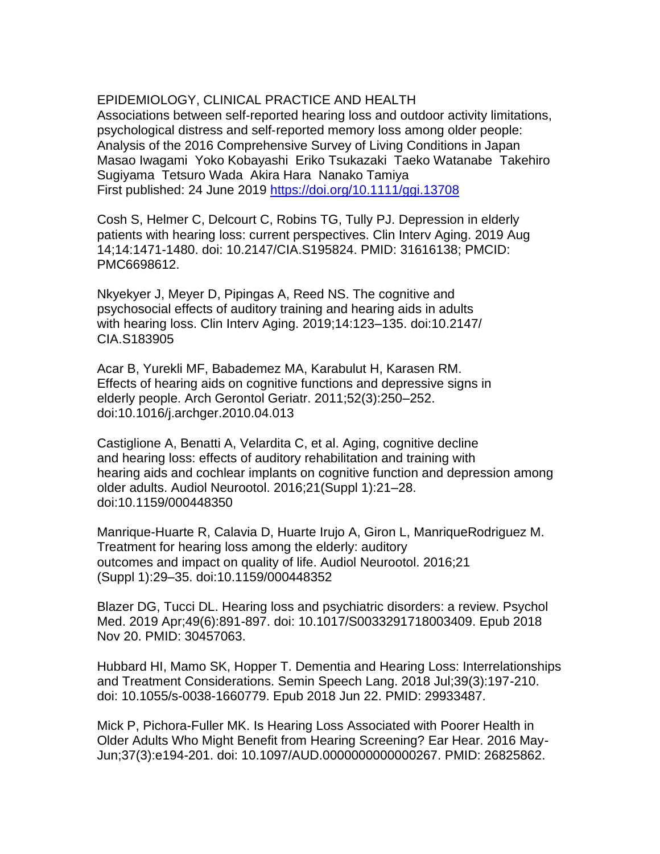## EPIDEMIOLOGY, CLINICAL PRACTICE AND HEALTH

Associations between self‐reported hearing loss and outdoor activity limitations, psychological distress and self‐reported memory loss among older people: Analysis of the 2016 Comprehensive Survey of Living Conditions in Japan Masao Iwagami Yoko Kobayashi Eriko Tsukazaki Taeko Watanabe Takehiro Sugiyama Tetsuro Wada Akira Hara Nanako Tamiya First published: 24 June 2019<https://doi.org/10.1111/ggi.13708>

Cosh S, Helmer C, Delcourt C, Robins TG, Tully PJ. Depression in elderly patients with hearing loss: current perspectives. Clin Interv Aging. 2019 Aug 14;14:1471-1480. doi: 10.2147/CIA.S195824. PMID: 31616138; PMCID: PMC6698612.

Nkyekyer J, Meyer D, Pipingas A, Reed NS. The cognitive and psychosocial effects of auditory training and hearing aids in adults with hearing loss. Clin Interv Aging. 2019;14:123–135. doi:10.2147/ CIA.S183905

Acar B, Yurekli MF, Babademez MA, Karabulut H, Karasen RM. Effects of hearing aids on cognitive functions and depressive signs in elderly people. Arch Gerontol Geriatr. 2011;52(3):250–252. doi:10.1016/j.archger.2010.04.013

Castiglione A, Benatti A, Velardita C, et al. Aging, cognitive decline and hearing loss: effects of auditory rehabilitation and training with hearing aids and cochlear implants on cognitive function and depression among older adults. Audiol Neurootol. 2016;21(Suppl 1):21–28. doi:10.1159/000448350

Manrique-Huarte R, Calavia D, Huarte Irujo A, Giron L, ManriqueRodriguez M. Treatment for hearing loss among the elderly: auditory outcomes and impact on quality of life. Audiol Neurootol. 2016;21 (Suppl 1):29–35. doi:10.1159/000448352

Blazer DG, Tucci DL. Hearing loss and psychiatric disorders: a review. Psychol Med. 2019 Apr;49(6):891-897. doi: 10.1017/S0033291718003409. Epub 2018 Nov 20. PMID: 30457063.

Hubbard HI, Mamo SK, Hopper T. Dementia and Hearing Loss: Interrelationships and Treatment Considerations. Semin Speech Lang. 2018 Jul;39(3):197-210. doi: 10.1055/s-0038-1660779. Epub 2018 Jun 22. PMID: 29933487.

Mick P, Pichora-Fuller MK. Is Hearing Loss Associated with Poorer Health in Older Adults Who Might Benefit from Hearing Screening? Ear Hear. 2016 May-Jun;37(3):e194-201. doi: 10.1097/AUD.0000000000000267. PMID: 26825862.